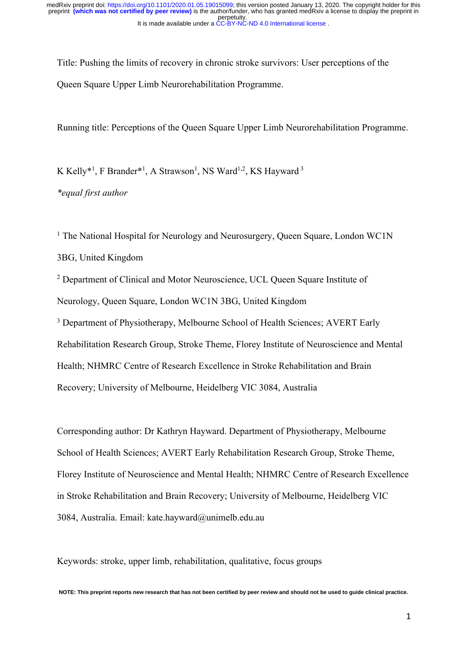Title: Pushing the limits of recovery in chronic stroke survivors: User perceptions of the Queen Square Upper Limb Neurorehabilitation Programme.

Running title: Perceptions of the Queen Square Upper Limb Neurorehabilitation Programme.

K Kelly\*<sup>1</sup>, F Brander\*<sup>1</sup>, A Strawson<sup>1</sup>, NS Ward<sup>1,2</sup>, KS Hayward<sup>3</sup>

*\*equal first author*

<sup>1</sup> The National Hospital for Neurology and Neurosurgery, Queen Square, London WC1N 3BG, United Kingdom

<sup>2</sup> Department of Clinical and Motor Neuroscience, UCL Queen Square Institute of Neurology, Queen Square, London WC1N 3BG, United Kingdom <sup>3</sup> Department of Physiotherapy, Melbourne School of Health Sciences; AVERT Early

Rehabilitation Research Group, Stroke Theme, Florey Institute of Neuroscience and Mental Health; NHMRC Centre of Research Excellence in Stroke Rehabilitation and Brain Recovery; University of Melbourne, Heidelberg VIC 3084, Australia

Corresponding author: Dr Kathryn Hayward. Department of Physiotherapy, Melbourne School of Health Sciences; AVERT Early Rehabilitation Research Group, Stroke Theme, Florey Institute of Neuroscience and Mental Health; NHMRC Centre of Research Excellence in Stroke Rehabilitation and Brain Recovery; University of Melbourne, Heidelberg VIC 3084, Australia. Email: kate.hayward@unimelb.edu.au

Keywords: stroke, upper limb, rehabilitation, qualitative, focus groups

**NOTE: This preprint reports new research that has not been certified by peer review and should not be used to guide clinical practice.**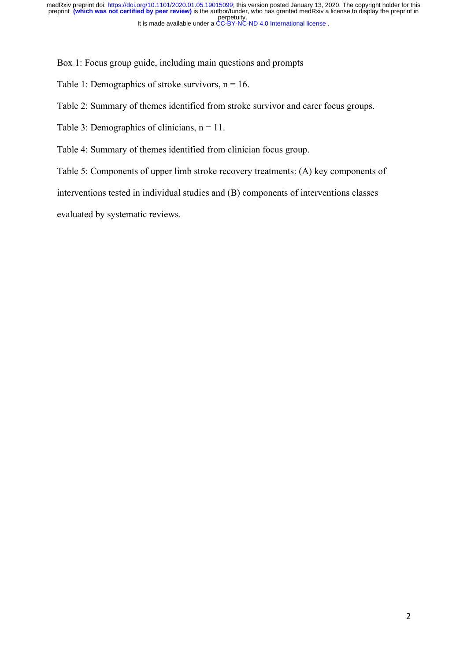Box 1: Focus group guide, including main questions and prompts

Table 1: Demographics of stroke survivors,  $n = 16$ .

Table 2: Summary of themes identified from stroke survivor and carer focus groups.

Table 3: Demographics of clinicians,  $n = 11$ .

Table 4: Summary of themes identified from clinician focus group.

Table 5: Components of upper limb stroke recovery treatments: (A) key components of

interventions tested in individual studies and (B) components of interventions classes

evaluated by systematic reviews.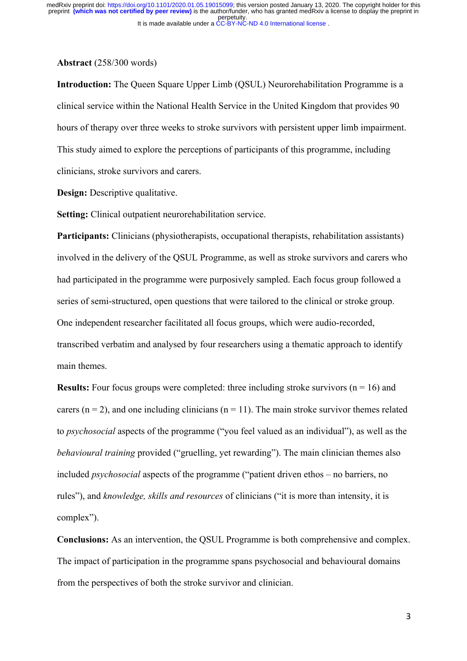#### **Abstract** (258/300 words)

**Introduction:** The Queen Square Upper Limb (QSUL) Neurorehabilitation Programme is a clinical service within the National Health Service in the United Kingdom that provides 90 hours of therapy over three weeks to stroke survivors with persistent upper limb impairment. This study aimed to explore the perceptions of participants of this programme, including clinicians, stroke survivors and carers.

**Design:** Descriptive qualitative.

**Setting:** Clinical outpatient neurorehabilitation service.

Participants: Clinicians (physiotherapists, occupational therapists, rehabilitation assistants) involved in the delivery of the QSUL Programme, as well as stroke survivors and carers who had participated in the programme were purposively sampled. Each focus group followed a series of semi-structured, open questions that were tailored to the clinical or stroke group. One independent researcher facilitated all focus groups, which were audio-recorded, transcribed verbatim and analysed by four researchers using a thematic approach to identify main themes.

**Results:** Four focus groups were completed: three including stroke survivors ( $n = 16$ ) and carers ( $n = 2$ ), and one including clinicians ( $n = 11$ ). The main stroke survivor themes related to *psychosocial* aspects of the programme ("you feel valued as an individual"), as well as the *behavioural training* provided ("gruelling, yet rewarding"). The main clinician themes also included *psychosocial* aspects of the programme ("patient driven ethos – no barriers, no rules"), and *knowledge, skills and resources* of clinicians ("it is more than intensity, it is complex").

**Conclusions:** As an intervention, the QSUL Programme is both comprehensive and complex. The impact of participation in the programme spans psychosocial and behavioural domains from the perspectives of both the stroke survivor and clinician.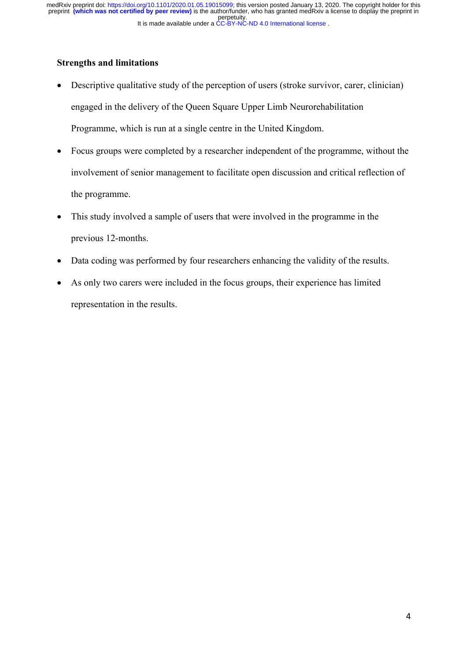## **Strengths and limitations**

- Descriptive qualitative study of the perception of users (stroke survivor, carer, clinician) engaged in the delivery of the Queen Square Upper Limb Neurorehabilitation Programme, which is run at a single centre in the United Kingdom.
- Focus groups were completed by a researcher independent of the programme, without the involvement of senior management to facilitate open discussion and critical reflection of the programme.
- This study involved a sample of users that were involved in the programme in the previous 12-months.
- Data coding was performed by four researchers enhancing the validity of the results.
- As only two carers were included in the focus groups, their experience has limited representation in the results.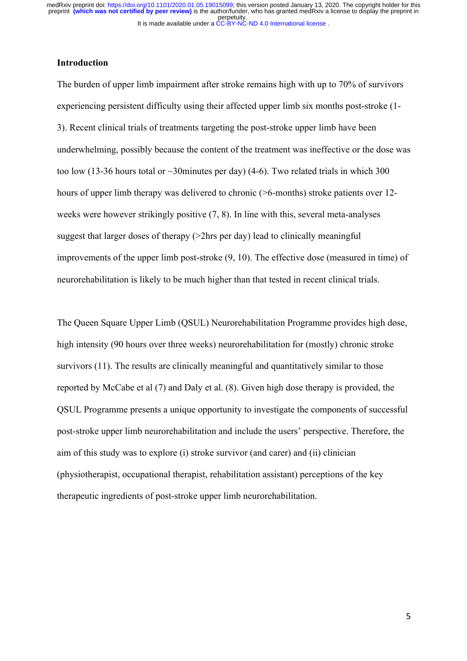## **Introduction**

The burden of upper limb impairment after stroke remains high with up to 70% of survivors experiencing persistent difficulty using their affected upper limb six months post-stroke (1- 3). Recent clinical trials of treatments targeting the post-stroke upper limb have been underwhelming, possibly because the content of the treatment was ineffective or the dose was too low (13-36 hours total or  $\sim$ 30minutes per day) (4-6). Two related trials in which 300 hours of upper limb therapy was delivered to chronic (>6-months) stroke patients over 12weeks were however strikingly positive (7, 8). In line with this, several meta-analyses suggest that larger doses of therapy (>2hrs per day) lead to clinically meaningful improvements of the upper limb post-stroke (9, 10). The effective dose (measured in time) of neurorehabilitation is likely to be much higher than that tested in recent clinical trials.

The Queen Square Upper Limb (QSUL) Neurorehabilitation Programme provides high dose, high intensity (90 hours over three weeks) neurorehabilitation for (mostly) chronic stroke survivors (11). The results are clinically meaningful and quantitatively similar to those reported by McCabe et al (7) and Daly et al. (8). Given high dose therapy is provided, the QSUL Programme presents a unique opportunity to investigate the components of successful post-stroke upper limb neurorehabilitation and include the users' perspective. Therefore, the aim of this study was to explore (i) stroke survivor (and carer) and (ii) clinician (physiotherapist, occupational therapist, rehabilitation assistant) perceptions of the key therapeutic ingredients of post-stroke upper limb neurorehabilitation.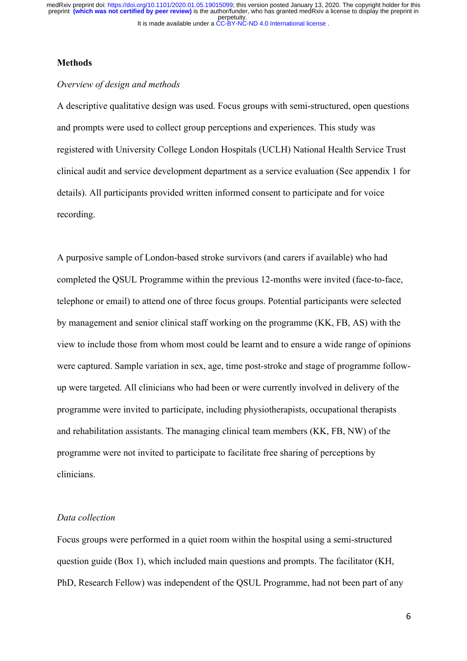#### **Methods**

## *Overview of design and methods*

A descriptive qualitative design was used. Focus groups with semi-structured, open questions and prompts were used to collect group perceptions and experiences. This study was registered with University College London Hospitals (UCLH) National Health Service Trust clinical audit and service development department as a service evaluation (See appendix 1 for details). All participants provided written informed consent to participate and for voice recording.

A purposive sample of London-based stroke survivors (and carers if available) who had completed the QSUL Programme within the previous 12-months were invited (face-to-face, telephone or email) to attend one of three focus groups. Potential participants were selected by management and senior clinical staff working on the programme (KK, FB, AS) with the view to include those from whom most could be learnt and to ensure a wide range of opinions were captured. Sample variation in sex, age, time post-stroke and stage of programme followup were targeted. All clinicians who had been or were currently involved in delivery of the programme were invited to participate, including physiotherapists, occupational therapists and rehabilitation assistants. The managing clinical team members (KK, FB, NW) of the programme were not invited to participate to facilitate free sharing of perceptions by clinicians.

#### *Data collection*

Focus groups were performed in a quiet room within the hospital using a semi-structured question guide (Box 1), which included main questions and prompts. The facilitator (KH, PhD, Research Fellow) was independent of the QSUL Programme, had not been part of any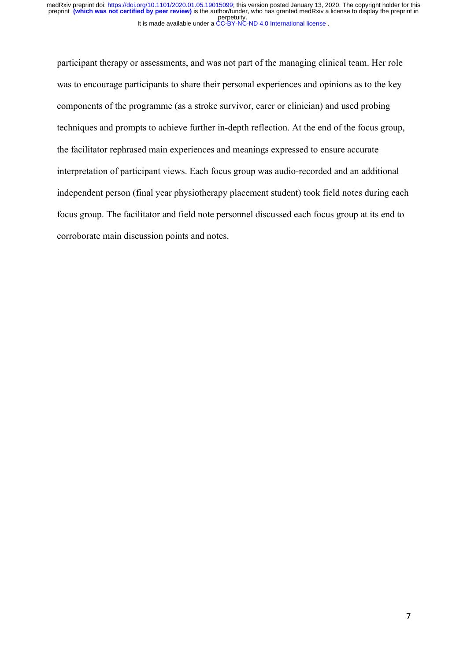participant therapy or assessments, and was not part of the managing clinical team. Her role was to encourage participants to share their personal experiences and opinions as to the key components of the programme (as a stroke survivor, carer or clinician) and used probing techniques and prompts to achieve further in-depth reflection. At the end of the focus group, the facilitator rephrased main experiences and meanings expressed to ensure accurate interpretation of participant views. Each focus group was audio-recorded and an additional independent person (final year physiotherapy placement student) took field notes during each focus group. The facilitator and field note personnel discussed each focus group at its end to corroborate main discussion points and notes.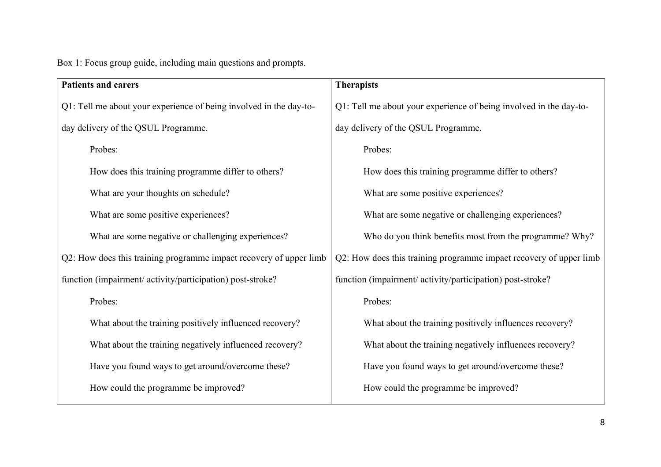Box 1: Focus group guide, including main questions and prompts.

| <b>Patients and carers</b>                                         | <b>Therapists</b>                                                  |  |  |  |
|--------------------------------------------------------------------|--------------------------------------------------------------------|--|--|--|
| Q1: Tell me about your experience of being involved in the day-to- | Q1: Tell me about your experience of being involved in the day-to- |  |  |  |
| day delivery of the QSUL Programme.                                | day delivery of the QSUL Programme.                                |  |  |  |
| Probes:                                                            | Probes:                                                            |  |  |  |
| How does this training programme differ to others?                 | How does this training programme differ to others?                 |  |  |  |
| What are your thoughts on schedule?                                | What are some positive experiences?                                |  |  |  |
| What are some positive experiences?                                | What are some negative or challenging experiences?                 |  |  |  |
| What are some negative or challenging experiences?                 | Who do you think benefits most from the programme? Why?            |  |  |  |
| Q2: How does this training programme impact recovery of upper limb | Q2: How does this training programme impact recovery of upper limb |  |  |  |
| function (impairment/activity/participation) post-stroke?          | function (impairment/activity/participation) post-stroke?          |  |  |  |
| Probes:                                                            | Probes:                                                            |  |  |  |
| What about the training positively influenced recovery?            | What about the training positively influences recovery?            |  |  |  |
| What about the training negatively influenced recovery?            | What about the training negatively influences recovery?            |  |  |  |
| Have you found ways to get around/overcome these?                  | Have you found ways to get around/overcome these?                  |  |  |  |
| How could the programme be improved?                               | How could the programme be improved?                               |  |  |  |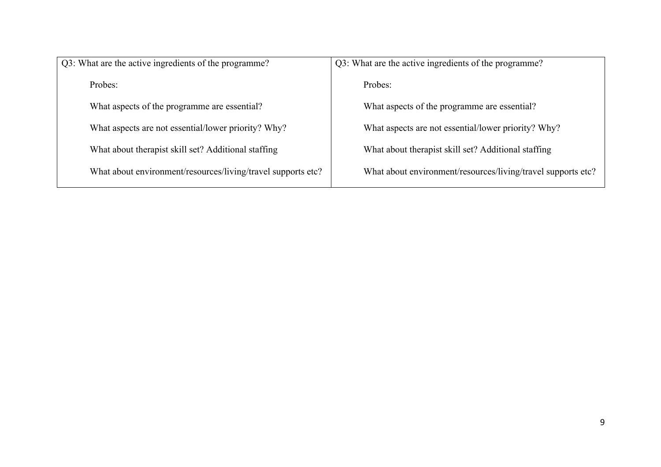| Q3: What are the active ingredients of the programme?        | Q3: What are the active ingredients of the programme?        |  |  |
|--------------------------------------------------------------|--------------------------------------------------------------|--|--|
| Probes:                                                      | Probes:                                                      |  |  |
| What aspects of the programme are essential?                 | What aspects of the programme are essential?                 |  |  |
| What aspects are not essential/lower priority? Why?          | What aspects are not essential/lower priority? Why?          |  |  |
| What about therapist skill set? Additional staffing          | What about therapist skill set? Additional staffing          |  |  |
| What about environment/resources/living/travel supports etc? | What about environment/resources/living/travel supports etc? |  |  |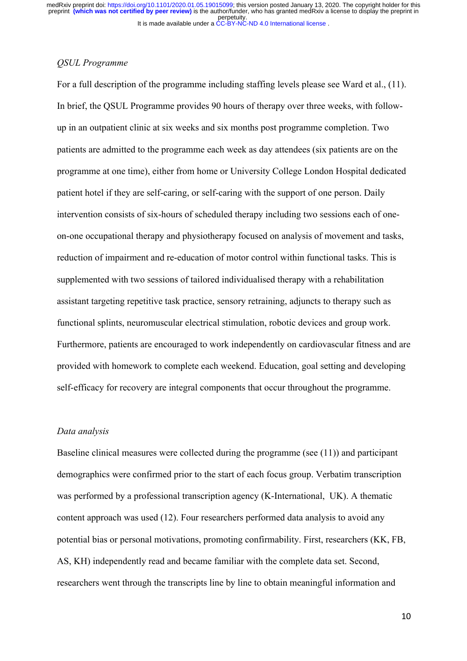## *QSUL Programme*

For a full description of the programme including staffing levels please see Ward et al., (11). In brief, the QSUL Programme provides 90 hours of therapy over three weeks, with followup in an outpatient clinic at six weeks and six months post programme completion. Two patients are admitted to the programme each week as day attendees (six patients are on the programme at one time), either from home or University College London Hospital dedicated patient hotel if they are self-caring, or self-caring with the support of one person. Daily intervention consists of six-hours of scheduled therapy including two sessions each of oneon-one occupational therapy and physiotherapy focused on analysis of movement and tasks, reduction of impairment and re-education of motor control within functional tasks. This is supplemented with two sessions of tailored individualised therapy with a rehabilitation assistant targeting repetitive task practice, sensory retraining, adjuncts to therapy such as functional splints, neuromuscular electrical stimulation, robotic devices and group work. Furthermore, patients are encouraged to work independently on cardiovascular fitness and are provided with homework to complete each weekend. Education, goal setting and developing self-efficacy for recovery are integral components that occur throughout the programme.

#### *Data analysis*

Baseline clinical measures were collected during the programme (see (11)) and participant demographics were confirmed prior to the start of each focus group. Verbatim transcription was performed by a professional transcription agency (K-International, UK). A thematic content approach was used (12). Four researchers performed data analysis to avoid any potential bias or personal motivations, promoting confirmability. First, researchers (KK, FB, AS, KH) independently read and became familiar with the complete data set. Second, researchers went through the transcripts line by line to obtain meaningful information and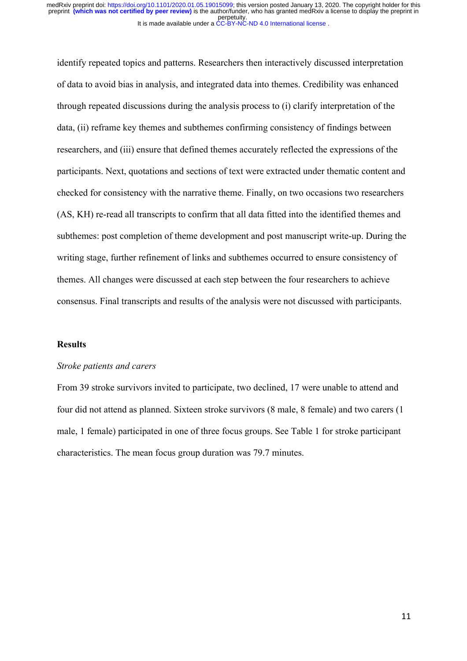identify repeated topics and patterns. Researchers then interactively discussed interpretation of data to avoid bias in analysis, and integrated data into themes. Credibility was enhanced through repeated discussions during the analysis process to (i) clarify interpretation of the data, (ii) reframe key themes and subthemes confirming consistency of findings between researchers, and (iii) ensure that defined themes accurately reflected the expressions of the participants. Next, quotations and sections of text were extracted under thematic content and checked for consistency with the narrative theme. Finally, on two occasions two researchers (AS, KH) re-read all transcripts to confirm that all data fitted into the identified themes and subthemes: post completion of theme development and post manuscript write-up. During the writing stage, further refinement of links and subthemes occurred to ensure consistency of themes. All changes were discussed at each step between the four researchers to achieve consensus. Final transcripts and results of the analysis were not discussed with participants.

#### **Results**

#### *Stroke patients and carers*

From 39 stroke survivors invited to participate, two declined, 17 were unable to attend and four did not attend as planned. Sixteen stroke survivors (8 male, 8 female) and two carers (1 male, 1 female) participated in one of three focus groups. See Table 1 for stroke participant characteristics. The mean focus group duration was 79.7 minutes.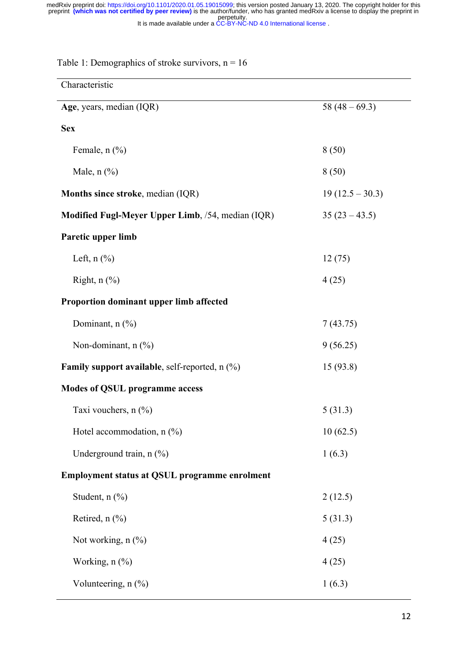| Characteristic                                                               |                   |  |  |  |
|------------------------------------------------------------------------------|-------------------|--|--|--|
| Age, years, median (IQR)                                                     | 58 $(48-69.3)$    |  |  |  |
| <b>Sex</b>                                                                   |                   |  |  |  |
| Female, $n$ $(\%)$                                                           | 8(50)             |  |  |  |
| Male, $n$ $\left(\frac{9}{6}\right)$                                         | 8(50)             |  |  |  |
| <b>Months since stroke, median (IQR)</b>                                     | $19(12.5 - 30.3)$ |  |  |  |
| Modified Fugl-Meyer Upper Limb, /54, median (IQR)                            | $35(23 - 43.5)$   |  |  |  |
| Paretic upper limb                                                           |                   |  |  |  |
| Left, $n$ $(\%)$                                                             | 12(75)            |  |  |  |
| Right, $n$ $\left(\frac{9}{6}\right)$                                        | 4(25)             |  |  |  |
| Proportion dominant upper limb affected                                      |                   |  |  |  |
| Dominant, n (%)                                                              | 7(43.75)          |  |  |  |
| Non-dominant, $n$ $(\%)$                                                     | 9(56.25)          |  |  |  |
| <b>Family support available, self-reported, n</b> $\left(\frac{0}{0}\right)$ | 15(93.8)          |  |  |  |
| <b>Modes of QSUL programme access</b>                                        |                   |  |  |  |
| Taxi vouchers, n (%)                                                         | 5(31.3)           |  |  |  |
| Hotel accommodation, $n$ (%)                                                 | 10(62.5)          |  |  |  |
| Underground train, n (%)                                                     | 1(6.3)            |  |  |  |
| <b>Employment status at QSUL programme enrolment</b>                         |                   |  |  |  |
| Student, $n$ $(\%)$                                                          | 2(12.5)           |  |  |  |
| Retired, $n$ (%)                                                             | 5(31.3)           |  |  |  |
| Not working, $n$ $(\%)$                                                      | 4(25)             |  |  |  |
| Working, $n$ $(\%)$                                                          | 4(25)             |  |  |  |
| Volunteering, n (%)                                                          | 1(6.3)            |  |  |  |

Table 1: Demographics of stroke survivors,  $n = 16$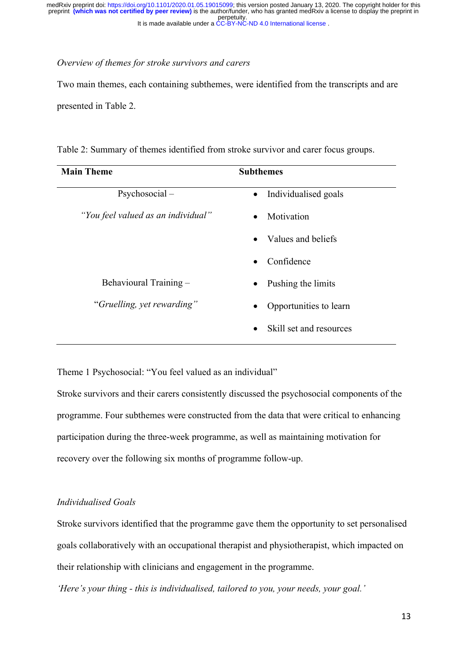#### *Overview of themes for stroke survivors and carers*

Two main themes, each containing subthemes, were identified from the transcripts and are presented in Table 2.

Table 2: Summary of themes identified from stroke survivor and carer focus groups.

| <b>Main Theme</b>                  | <b>Subthemes</b>                     |
|------------------------------------|--------------------------------------|
| $Psychosocial -$                   | Individualised goals<br>$\bullet$    |
| "You feel valued as an individual" | Motivation<br>$\bullet$              |
|                                    | Values and beliefs                   |
|                                    | Confidence<br>$\bullet$              |
| Behavioural Training -             | Pushing the limits<br>$\bullet$      |
| "Gruelling, yet rewarding"         | Opportunities to learn<br>٠          |
|                                    | Skill set and resources<br>$\bullet$ |

Theme 1 Psychosocial: "You feel valued as an individual"

Stroke survivors and their carers consistently discussed the psychosocial components of the programme. Four subthemes were constructed from the data that were critical to enhancing participation during the three-week programme, as well as maintaining motivation for recovery over the following six months of programme follow-up.

#### *Individualised Goals*

Stroke survivors identified that the programme gave them the opportunity to set personalised goals collaboratively with an occupational therapist and physiotherapist, which impacted on their relationship with clinicians and engagement in the programme.

*'Here's your thing - this is individualised, tailored to you, your needs, your goal.'*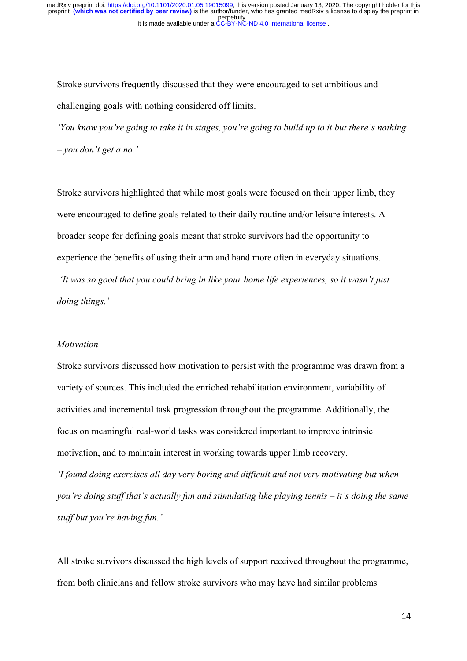Stroke survivors frequently discussed that they were encouraged to set ambitious and challenging goals with nothing considered off limits.

*'You know you're going to take it in stages, you're going to build up to it but there's nothing – you don't get a no.'* 

Stroke survivors highlighted that while most goals were focused on their upper limb, they were encouraged to define goals related to their daily routine and/or leisure interests. A broader scope for defining goals meant that stroke survivors had the opportunity to experience the benefits of using their arm and hand more often in everyday situations.

*'It was so good that you could bring in like your home life experiences, so it wasn't just doing things.'*

## *Motivation*

Stroke survivors discussed how motivation to persist with the programme was drawn from a variety of sources. This included the enriched rehabilitation environment, variability of activities and incremental task progression throughout the programme. Additionally, the focus on meaningful real-world tasks was considered important to improve intrinsic motivation, and to maintain interest in working towards upper limb recovery.

*'I found doing exercises all day very boring and difficult and not very motivating but when you're doing stuff that's actually fun and stimulating like playing tennis – it's doing the same stuff but you're having fun.'* 

All stroke survivors discussed the high levels of support received throughout the programme, from both clinicians and fellow stroke survivors who may have had similar problems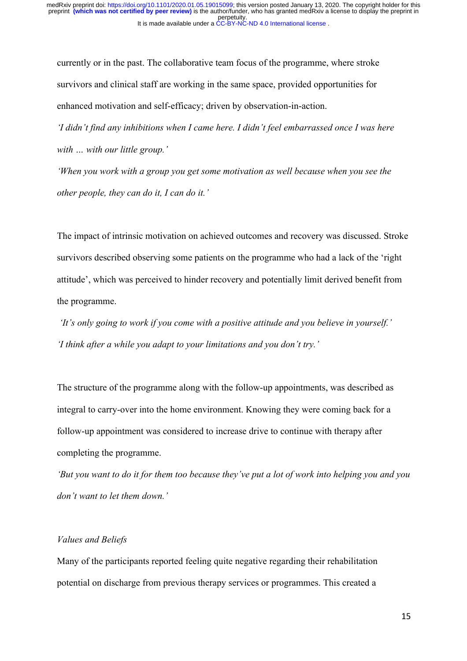currently or in the past. The collaborative team focus of the programme, where stroke survivors and clinical staff are working in the same space, provided opportunities for enhanced motivation and self-efficacy; driven by observation-in-action.

*'I didn't find any inhibitions when I came here. I didn't feel embarrassed once I was here with … with our little group.'*

*'When you work with a group you get some motivation as well because when you see the other people, they can do it, I can do it.'*

The impact of intrinsic motivation on achieved outcomes and recovery was discussed. Stroke survivors described observing some patients on the programme who had a lack of the 'right attitude', which was perceived to hinder recovery and potentially limit derived benefit from the programme.

*'It's only going to work if you come with a positive attitude and you believe in yourself.' 'I think after a while you adapt to your limitations and you don't try.'*

The structure of the programme along with the follow-up appointments, was described as integral to carry-over into the home environment. Knowing they were coming back for a follow-up appointment was considered to increase drive to continue with therapy after completing the programme.

*'But you want to do it for them too because they've put a lot of work into helping you and you don't want to let them down.'*

## *Values and Beliefs*

Many of the participants reported feeling quite negative regarding their rehabilitation potential on discharge from previous therapy services or programmes. This created a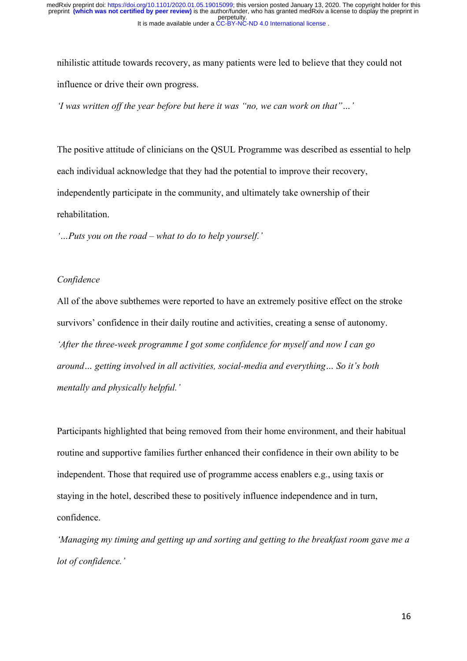nihilistic attitude towards recovery, as many patients were led to believe that they could not influence or drive their own progress.

*'I was written off the year before but here it was "no, we can work on that"…'*

The positive attitude of clinicians on the QSUL Programme was described as essential to help each individual acknowledge that they had the potential to improve their recovery, independently participate in the community, and ultimately take ownership of their rehabilitation.

*'…Puts you on the road – what to do to help yourself.'*

#### *Confidence*

All of the above subthemes were reported to have an extremely positive effect on the stroke survivors' confidence in their daily routine and activities, creating a sense of autonomy. *'After the three-week programme I got some confidence for myself and now I can go around… getting involved in all activities, social-media and everything… So it's both mentally and physically helpful.'*

Participants highlighted that being removed from their home environment, and their habitual routine and supportive families further enhanced their confidence in their own ability to be independent. Those that required use of programme access enablers e.g., using taxis or staying in the hotel, described these to positively influence independence and in turn, confidence.

*'Managing my timing and getting up and sorting and getting to the breakfast room gave me a lot of confidence.'*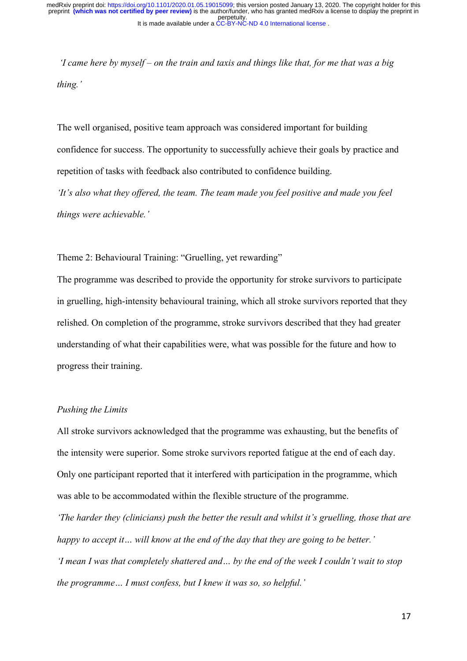*'I came here by myself – on the train and taxis and things like that, for me that was a big thing.'*

The well organised, positive team approach was considered important for building confidence for success. The opportunity to successfully achieve their goals by practice and repetition of tasks with feedback also contributed to confidence building.

*'It's also what they offered, the team. The team made you feel positive and made you feel things were achievable.'*

Theme 2: Behavioural Training: "Gruelling, yet rewarding"

The programme was described to provide the opportunity for stroke survivors to participate in gruelling, high-intensity behavioural training, which all stroke survivors reported that they relished. On completion of the programme, stroke survivors described that they had greater understanding of what their capabilities were, what was possible for the future and how to progress their training.

#### *Pushing the Limits*

All stroke survivors acknowledged that the programme was exhausting, but the benefits of the intensity were superior. Some stroke survivors reported fatigue at the end of each day. Only one participant reported that it interfered with participation in the programme, which was able to be accommodated within the flexible structure of the programme.

*'The harder they (clinicians) push the better the result and whilst it's gruelling, those that are happy to accept it… will know at the end of the day that they are going to be better.' 'I mean I was that completely shattered and… by the end of the week I couldn't wait to stop the programme… I must confess, but I knew it was so, so helpful.'*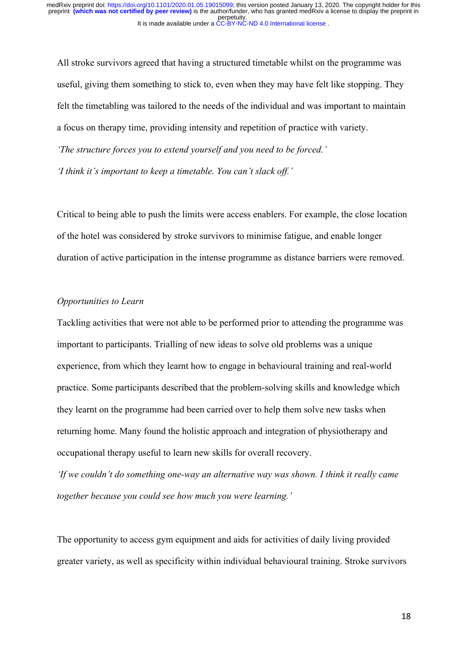All stroke survivors agreed that having a structured timetable whilst on the programme was useful, giving them something to stick to, even when they may have felt like stopping. They felt the timetabling was tailored to the needs of the individual and was important to maintain a focus on therapy time, providing intensity and repetition of practice with variety. *'The structure forces you to extend yourself and you need to be forced.' 'I think it's important to keep a timetable. You can't slack off.'*

Critical to being able to push the limits were access enablers. For example, the close location of the hotel was considered by stroke survivors to minimise fatigue, and enable longer duration of active participation in the intense programme as distance barriers were removed.

### *Opportunities to Learn*

Tackling activities that were not able to be performed prior to attending the programme was important to participants. Trialling of new ideas to solve old problems was a unique experience, from which they learnt how to engage in behavioural training and real-world practice. Some participants described that the problem-solving skills and knowledge which they learnt on the programme had been carried over to help them solve new tasks when returning home. Many found the holistic approach and integration of physiotherapy and occupational therapy useful to learn new skills for overall recovery.

*'If we couldn't do something one-way an alternative way was shown. I think it really came together because you could see how much you were learning.'*

The opportunity to access gym equipment and aids for activities of daily living provided greater variety, as well as specificity within individual behavioural training. Stroke survivors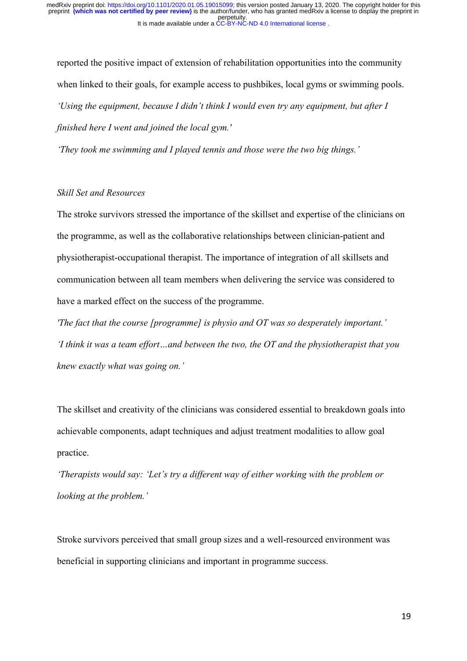reported the positive impact of extension of rehabilitation opportunities into the community when linked to their goals, for example access to pushbikes, local gyms or swimming pools. *'Using the equipment, because I didn't think I would even try any equipment, but after I finished here I went and joined the local gym.'*

*'They took me swimming and I played tennis and those were the two big things.'*

## *Skill Set and Resources*

The stroke survivors stressed the importance of the skillset and expertise of the clinicians on the programme, as well as the collaborative relationships between clinician-patient and physiotherapist-occupational therapist. The importance of integration of all skillsets and communication between all team members when delivering the service was considered to have a marked effect on the success of the programme.

*'The fact that the course [programme] is physio and OT was so desperately important.' 'I think it was a team effort…and between the two, the OT and the physiotherapist that you knew exactly what was going on.'*

The skillset and creativity of the clinicians was considered essential to breakdown goals into achievable components, adapt techniques and adjust treatment modalities to allow goal practice.

*'Therapists would say: 'Let's try a different way of either working with the problem or looking at the problem.'*

Stroke survivors perceived that small group sizes and a well-resourced environment was beneficial in supporting clinicians and important in programme success.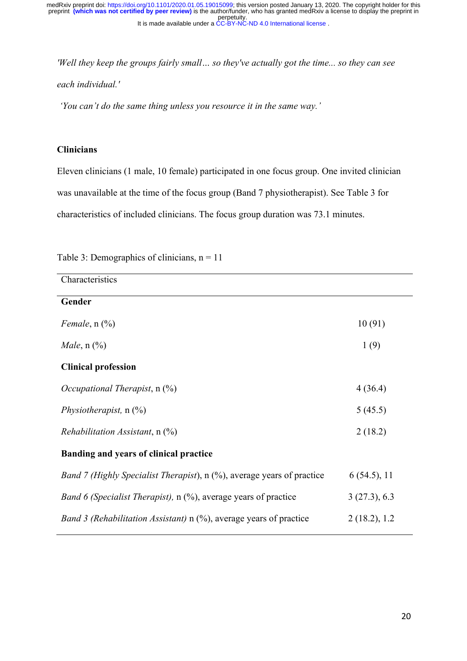*'Well they keep the groups fairly small… so they've actually got the time... so they can see each individual.'*

*'You can't do the same thing unless you resource it in the same way.'*

## **Clinicians**

Eleven clinicians (1 male, 10 female) participated in one focus group. One invited clinician was unavailable at the time of the focus group (Band 7 physiotherapist). See Table 3 for characteristics of included clinicians. The focus group duration was 73.1 minutes.

| Characteristics                                                                |              |
|--------------------------------------------------------------------------------|--------------|
| Gender                                                                         |              |
| Female, $n$ $(\%)$                                                             | 10(91)       |
| <i>Male</i> , $n$ (%)                                                          | 1(9)         |
| <b>Clinical profession</b>                                                     |              |
| <i>Occupational Therapist, n</i> $(\%)$                                        | 4(36.4)      |
| Physiotherapist, $n$ (%)                                                       | 5(45.5)      |
| Rehabilitation Assistant, $n$ $(\%)$                                           | 2(18.2)      |
| <b>Banding and years of clinical practice</b>                                  |              |
| <i>Band 7 (Highly Specialist Therapist)</i> , n (%), average years of practice | 6(54.5), 11  |
| <i>Band 6 (Specialist Therapist)</i> , $n$ (%), average years of practice      | 3(27.3), 6.3 |
| <i>Band 3 (Rehabilitation Assistant)</i> $n$ (%), average years of practice    | 2(18.2), 1.2 |

## Table 3: Demographics of clinicians,  $n = 11$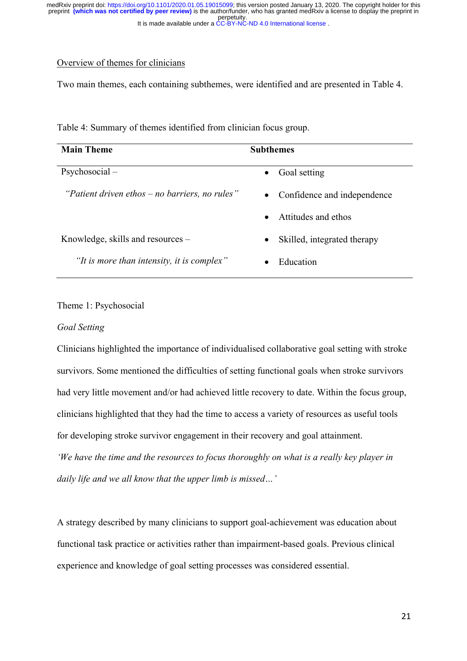## Overview of themes for clinicians

Two main themes, each containing subthemes, were identified and are presented in Table 4.

| <b>Main Theme</b>                              | <b>Subthemes</b>                         |
|------------------------------------------------|------------------------------------------|
| $Psychosocial -$                               | Goal setting<br>$\bullet$                |
| "Patient driven ethos – no barriers, no rules" | Confidence and independence<br>$\bullet$ |
|                                                | Attitudes and ethos<br>$\bullet$         |
| Knowledge, skills and resources –              | Skilled, integrated therapy<br>$\bullet$ |
| "It is more than intensity, it is complex"     | Education<br>$\bullet$                   |

Table 4: Summary of themes identified from clinician focus group.

## Theme 1: Psychosocial

#### *Goal Setting*

Clinicians highlighted the importance of individualised collaborative goal setting with stroke survivors. Some mentioned the difficulties of setting functional goals when stroke survivors had very little movement and/or had achieved little recovery to date. Within the focus group, clinicians highlighted that they had the time to access a variety of resources as useful tools for developing stroke survivor engagement in their recovery and goal attainment. *'We have the time and the resources to focus thoroughly on what is a really key player in daily life and we all know that the upper limb is missed…'*

A strategy described by many clinicians to support goal-achievement was education about functional task practice or activities rather than impairment-based goals. Previous clinical experience and knowledge of goal setting processes was considered essential.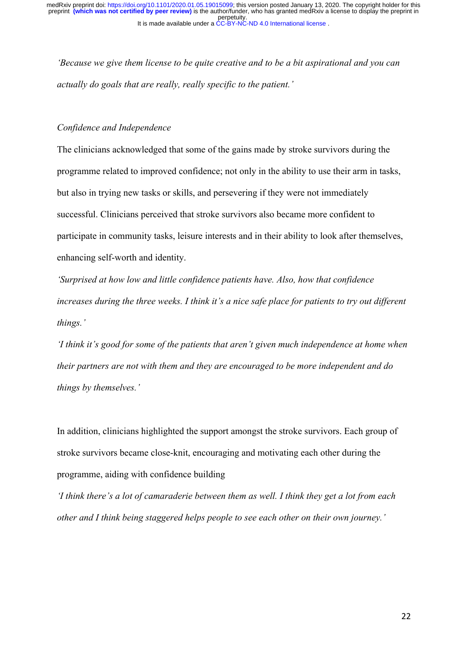*'Because we give them license to be quite creative and to be a bit aspirational and you can actually do goals that are really, really specific to the patient.'*

#### *Confidence and Independence*

The clinicians acknowledged that some of the gains made by stroke survivors during the programme related to improved confidence; not only in the ability to use their arm in tasks, but also in trying new tasks or skills, and persevering if they were not immediately successful. Clinicians perceived that stroke survivors also became more confident to participate in community tasks, leisure interests and in their ability to look after themselves, enhancing self-worth and identity.

*'Surprised at how low and little confidence patients have. Also, how that confidence increases during the three weeks. I think it's a nice safe place for patients to try out different things.'*

*'I think it's good for some of the patients that aren't given much independence at home when their partners are not with them and they are encouraged to be more independent and do things by themselves.'*

In addition, clinicians highlighted the support amongst the stroke survivors. Each group of stroke survivors became close-knit, encouraging and motivating each other during the programme, aiding with confidence building

*'I think there's a lot of camaraderie between them as well. I think they get a lot from each other and I think being staggered helps people to see each other on their own journey.'*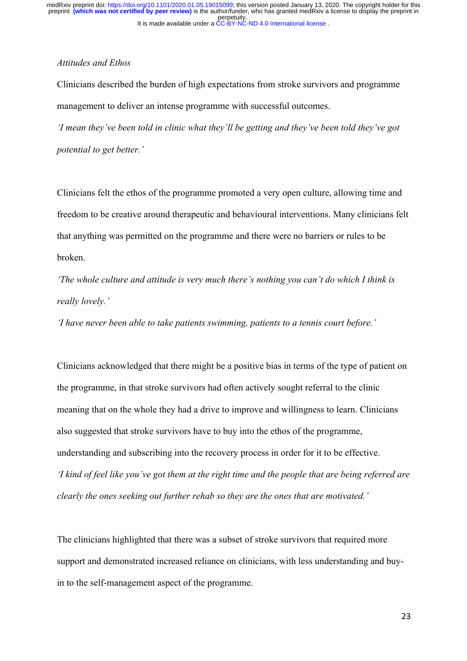## *Attitudes and Ethos*

Clinicians described the burden of high expectations from stroke survivors and programme management to deliver an intense programme with successful outcomes.

*'I mean they've been told in clinic what they'll be getting and they've been told they've got potential to get better.'*

Clinicians felt the ethos of the programme promoted a very open culture, allowing time and freedom to be creative around therapeutic and behavioural interventions. Many clinicians felt that anything was permitted on the programme and there were no barriers or rules to be broken.

*'The whole culture and attitude is very much there's nothing you can't do which I think is really lovely.'* 

*'I have never been able to take patients swimming, patients to a tennis court before.'*

Clinicians acknowledged that there might be a positive bias in terms of the type of patient on the programme, in that stroke survivors had often actively sought referral to the clinic meaning that on the whole they had a drive to improve and willingness to learn. Clinicians also suggested that stroke survivors have to buy into the ethos of the programme, understanding and subscribing into the recovery process in order for it to be effective. *'I kind of feel like you've got them at the right time and the people that are being referred are clearly the ones seeking out further rehab so they are the ones that are motivated.'* 

The clinicians highlighted that there was a subset of stroke survivors that required more support and demonstrated increased reliance on clinicians, with less understanding and buyin to the self-management aspect of the programme.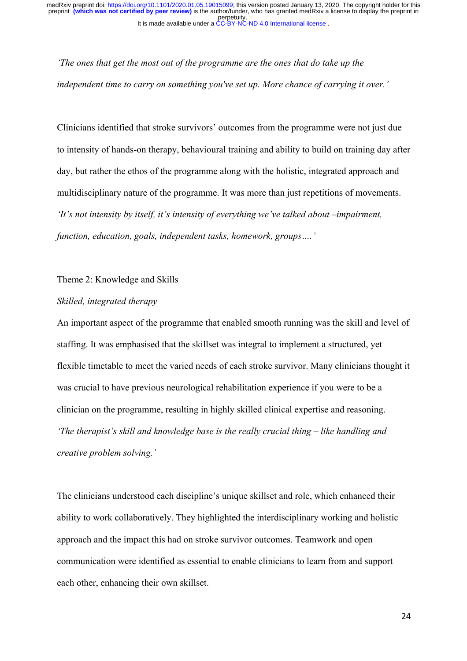*'The ones that get the most out of the programme are the ones that do take up the independent time to carry on something you've set up. More chance of carrying it over.'*

Clinicians identified that stroke survivors' outcomes from the programme were not just due to intensity of hands-on therapy, behavioural training and ability to build on training day after day, but rather the ethos of the programme along with the holistic, integrated approach and multidisciplinary nature of the programme. It was more than just repetitions of movements. *'It's not intensity by itself, it's intensity of everything we've talked about –impairment, function, education, goals, independent tasks, homework, groups….'*

Theme 2: Knowledge and Skills

## *Skilled, integrated therapy*

An important aspect of the programme that enabled smooth running was the skill and level of staffing. It was emphasised that the skillset was integral to implement a structured, yet flexible timetable to meet the varied needs of each stroke survivor. Many clinicians thought it was crucial to have previous neurological rehabilitation experience if you were to be a clinician on the programme, resulting in highly skilled clinical expertise and reasoning. *'The therapist's skill and knowledge base is the really crucial thing – like handling and creative problem solving.'* 

The clinicians understood each discipline's unique skillset and role, which enhanced their ability to work collaboratively. They highlighted the interdisciplinary working and holistic approach and the impact this had on stroke survivor outcomes. Teamwork and open communication were identified as essential to enable clinicians to learn from and support each other, enhancing their own skillset.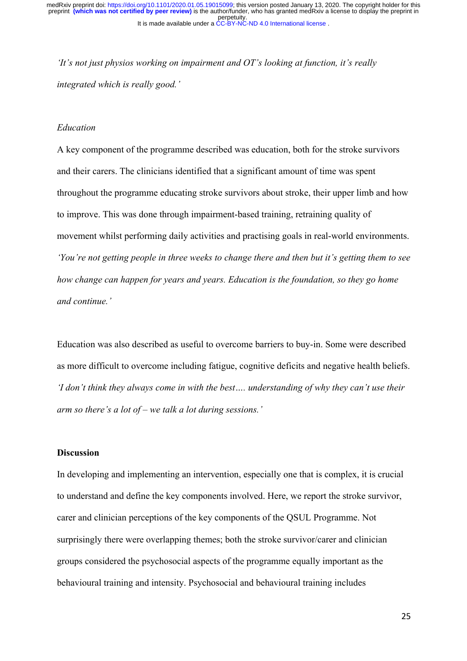*'It's not just physios working on impairment and OT's looking at function, it's really integrated which is really good.'*

## *Education*

A key component of the programme described was education, both for the stroke survivors and their carers. The clinicians identified that a significant amount of time was spent throughout the programme educating stroke survivors about stroke, their upper limb and how to improve. This was done through impairment-based training, retraining quality of movement whilst performing daily activities and practising goals in real-world environments. *'You're not getting people in three weeks to change there and then but it's getting them to see how change can happen for years and years. Education is the foundation, so they go home and continue.'*

Education was also described as useful to overcome barriers to buy-in. Some were described as more difficult to overcome including fatigue, cognitive deficits and negative health beliefs. *'I don't think they always come in with the best…. understanding of why they can't use their arm so there's a lot of – we talk a lot during sessions.'*

#### **Discussion**

In developing and implementing an intervention, especially one that is complex, it is crucial to understand and define the key components involved. Here, we report the stroke survivor, carer and clinician perceptions of the key components of the QSUL Programme. Not surprisingly there were overlapping themes; both the stroke survivor/carer and clinician groups considered the psychosocial aspects of the programme equally important as the behavioural training and intensity. Psychosocial and behavioural training includes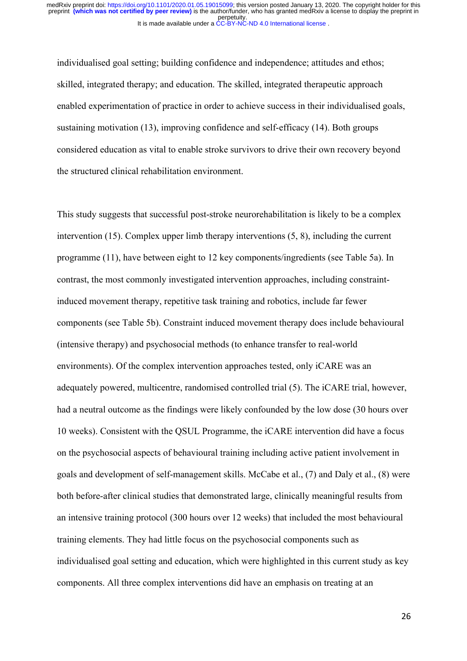individualised goal setting; building confidence and independence; attitudes and ethos; skilled, integrated therapy; and education. The skilled, integrated therapeutic approach enabled experimentation of practice in order to achieve success in their individualised goals, sustaining motivation (13), improving confidence and self-efficacy (14). Both groups considered education as vital to enable stroke survivors to drive their own recovery beyond the structured clinical rehabilitation environment.

This study suggests that successful post-stroke neurorehabilitation is likely to be a complex intervention (15). Complex upper limb therapy interventions (5, 8), including the current programme (11), have between eight to 12 key components/ingredients (see Table 5a). In contrast, the most commonly investigated intervention approaches, including constraintinduced movement therapy, repetitive task training and robotics, include far fewer components (see Table 5b). Constraint induced movement therapy does include behavioural (intensive therapy) and psychosocial methods (to enhance transfer to real-world environments). Of the complex intervention approaches tested, only iCARE was an adequately powered, multicentre, randomised controlled trial (5). The iCARE trial, however, had a neutral outcome as the findings were likely confounded by the low dose (30 hours over 10 weeks). Consistent with the QSUL Programme, the iCARE intervention did have a focus on the psychosocial aspects of behavioural training including active patient involvement in goals and development of self-management skills. McCabe et al., (7) and Daly et al., (8) were both before-after clinical studies that demonstrated large, clinically meaningful results from an intensive training protocol (300 hours over 12 weeks) that included the most behavioural training elements. They had little focus on the psychosocial components such as individualised goal setting and education, which were highlighted in this current study as key components. All three complex interventions did have an emphasis on treating at an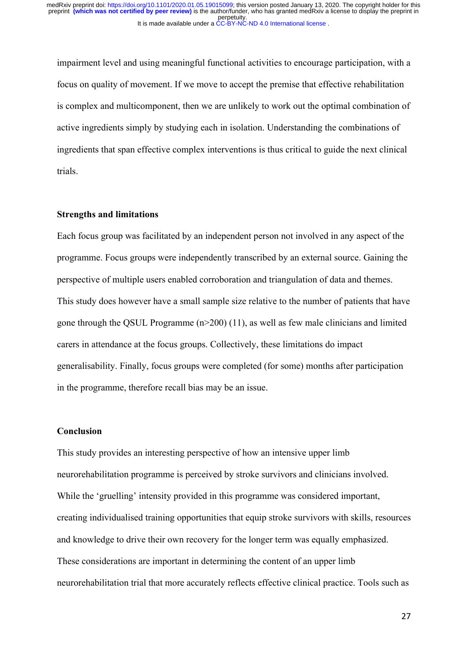impairment level and using meaningful functional activities to encourage participation, with a focus on quality of movement. If we move to accept the premise that effective rehabilitation is complex and multicomponent, then we are unlikely to work out the optimal combination of active ingredients simply by studying each in isolation. Understanding the combinations of ingredients that span effective complex interventions is thus critical to guide the next clinical trials.

## **Strengths and limitations**

Each focus group was facilitated by an independent person not involved in any aspect of the programme. Focus groups were independently transcribed by an external source. Gaining the perspective of multiple users enabled corroboration and triangulation of data and themes. This study does however have a small sample size relative to the number of patients that have gone through the QSUL Programme (n>200) (11), as well as few male clinicians and limited carers in attendance at the focus groups. Collectively, these limitations do impact generalisability. Finally, focus groups were completed (for some) months after participation in the programme, therefore recall bias may be an issue.

#### **Conclusion**

This study provides an interesting perspective of how an intensive upper limb neurorehabilitation programme is perceived by stroke survivors and clinicians involved. While the 'gruelling' intensity provided in this programme was considered important, creating individualised training opportunities that equip stroke survivors with skills, resources and knowledge to drive their own recovery for the longer term was equally emphasized. These considerations are important in determining the content of an upper limb neurorehabilitation trial that more accurately reflects effective clinical practice. Tools such as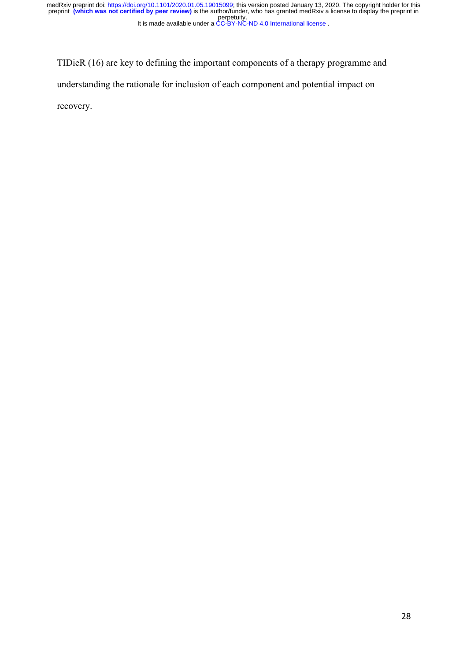TIDieR (16) are key to defining the important components of a therapy programme and understanding the rationale for inclusion of each component and potential impact on recovery.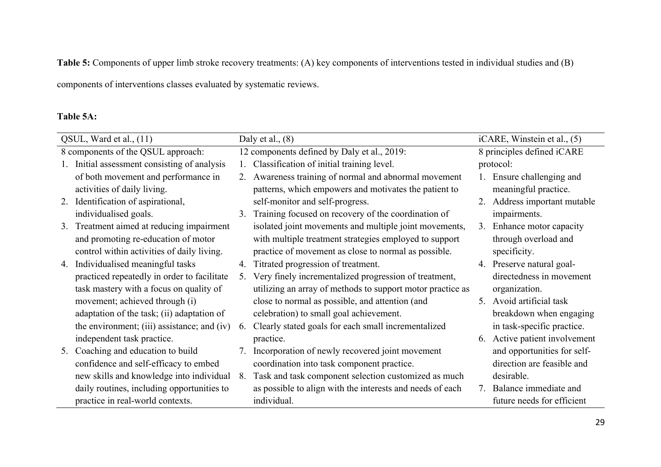**Table 5:** Components of upper limb stroke recovery treatments: (A) key components of interventions tested in individual studies and (B)

components of interventions classes evaluated by systematic reviews.

## **Table 5A:**

|    | QSUL, Ward et al., (11)                     |    | Daly et al., $(8)$                                         | $iCARE$ , Winstein et al., $(5)$ |
|----|---------------------------------------------|----|------------------------------------------------------------|----------------------------------|
|    | 8 components of the QSUL approach:          |    | 12 components defined by Daly et al., 2019:                | 8 principles defined iCARE       |
|    | Initial assessment consisting of analysis   |    | Classification of initial training level.                  | protocol:                        |
|    | of both movement and performance in         | 2. | Awareness training of normal and abnormal movement         | 1. Ensure challenging and        |
|    | activities of daily living.                 |    | patterns, which empowers and motivates the patient to      | meaningful practice.             |
|    | 2. Identification of aspirational,          |    | self-monitor and self-progress.                            | 2. Address important mutable     |
|    | individualised goals.                       | 3. | Training focused on recovery of the coordination of        | impairments.                     |
|    | 3. Treatment aimed at reducing impairment   |    | isolated joint movements and multiple joint movements,     | 3. Enhance motor capacity        |
|    | and promoting re-education of motor         |    | with multiple treatment strategies employed to support     | through overload and             |
|    | control within activities of daily living.  |    | practice of movement as close to normal as possible.       | specificity.                     |
|    | 4. Individualised meaningful tasks          | 4. | Titrated progression of treatment.                         | 4. Preserve natural goal-        |
|    | practiced repeatedly in order to facilitate | 5. | Very finely incrementalized progression of treatment,      | directedness in movement         |
|    | task mastery with a focus on quality of     |    | utilizing an array of methods to support motor practice as | organization.                    |
|    | movement; achieved through (i)              |    | close to normal as possible, and attention (and            | 5. Avoid artificial task         |
|    | adaptation of the task; (ii) adaptation of  |    | celebration) to small goal achievement.                    | breakdown when engaging          |
|    | the environment; (iii) assistance; and (iv) | 6. | Clearly stated goals for each small incrementalized        | in task-specific practice.       |
|    | independent task practice.                  |    | practice.                                                  | 6. Active patient involvement    |
| 5. | Coaching and education to build             | 7. | Incorporation of newly recovered joint movement            | and opportunities for self-      |
|    | confidence and self-efficacy to embed       |    | coordination into task component practice.                 | direction are feasible and       |
|    | new skills and knowledge into individual    | 8. | Task and task component selection customized as much       | desirable.                       |
|    | daily routines, including opportunities to  |    | as possible to align with the interests and needs of each  | 7. Balance immediate and         |
|    | practice in real-world contexts.            |    | individual.                                                | future needs for efficient       |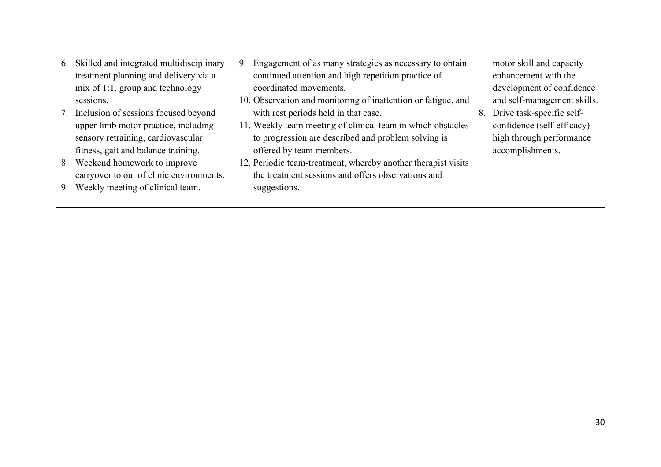- 6. Skilled and integrated multidisciplinary treatment planning and delivery via a mix of 1:1, group and technology sessions.
- 7. Inclusion of sessions focused beyond upper limb motor practice, including sensory retraining, cardiovascular fitness, gait and balance training.
- 8. Weekend homework to improve carryover to out of clinic environments.
- 9. Weekly meeting of clinical team.
- 9. Engagement of as many strategies as necessary to obtain continued attention and high repetition practice of coordinated movements.
- 10. Observation and monitoring of inattention or fatigue, and with rest periods held in that case.
- 11. Weekly team meeting of clinical team in which obstacles to progression are described and problem solving is offered by team members.
- 12. Periodic team-treatment, whereby another therapist visits the treatment sessions and offers observations and suggestions.

motor skill and capacity enhancement with the development of confidence and self-management skills.

8. Drive task-specific selfconfidence (self-efficacy) high through performance accomplishments.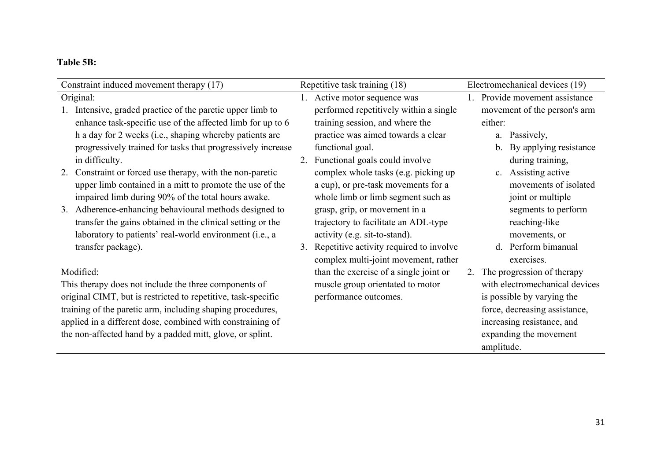# **Table 5B:**

| Constraint induced movement therapy (17)                      | Repetitive task training (18)              | Electromechanical devices (19)           |  |
|---------------------------------------------------------------|--------------------------------------------|------------------------------------------|--|
| Original:                                                     | 1. Active motor sequence was               | 1. Provide movement assistance           |  |
| Intensive, graded practice of the paretic upper limb to       | performed repetitively within a single     | movement of the person's arm             |  |
| enhance task-specific use of the affected limb for up to 6    | training session, and where the            | either:                                  |  |
| h a day for 2 weeks (i.e., shaping whereby patients are       | practice was aimed towards a clear         | a. Passively,                            |  |
| progressively trained for tasks that progressively increase   | functional goal.                           | By applying resistance<br>$\mathbf{b}$ . |  |
| in difficulty.                                                | 2. Functional goals could involve          | during training,                         |  |
| 2. Constraint or forced use therapy, with the non-paretic     | complex whole tasks (e.g. picking up       | c. Assisting active                      |  |
| upper limb contained in a mitt to promote the use of the      | a cup), or pre-task movements for a        | movements of isolated                    |  |
| impaired limb during 90% of the total hours awake.            | whole limb or limb segment such as         | joint or multiple                        |  |
| 3. Adherence-enhancing behavioural methods designed to        | grasp, grip, or movement in a              | segments to perform                      |  |
| transfer the gains obtained in the clinical setting or the    | trajectory to facilitate an ADL-type       | reaching-like                            |  |
| laboratory to patients' real-world environment (i.e., a       | activity (e.g. sit-to-stand).              | movements, or                            |  |
| transfer package).                                            | 3. Repetitive activity required to involve | d. Perform bimanual                      |  |
|                                                               | complex multi-joint movement, rather       | exercises.                               |  |
| Modified:                                                     | than the exercise of a single joint or     | 2. The progression of therapy            |  |
| This therapy does not include the three components of         | muscle group orientated to motor           | with electromechanical devices           |  |
| original CIMT, but is restricted to repetitive, task-specific | performance outcomes.                      | is possible by varying the               |  |
| training of the paretic arm, including shaping procedures,    |                                            | force, decreasing assistance,            |  |
| applied in a different dose, combined with constraining of    |                                            | increasing resistance, and               |  |
| the non-affected hand by a padded mitt, glove, or splint.     |                                            | expanding the movement                   |  |
|                                                               |                                            | amplitude.                               |  |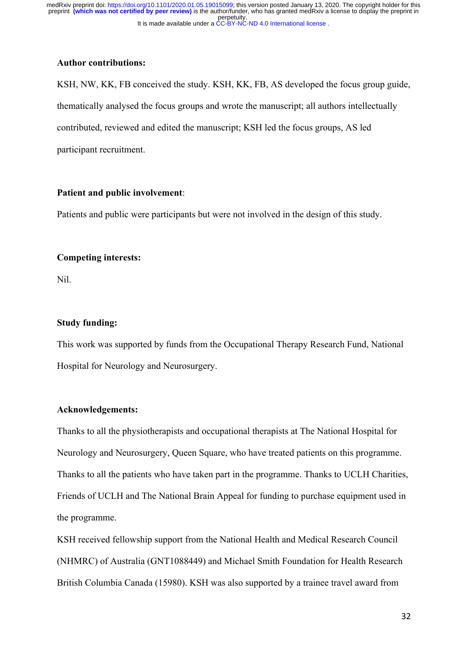#### **Author contributions:**

KSH, NW, KK, FB conceived the study. KSH, KK, FB, AS developed the focus group guide, thematically analysed the focus groups and wrote the manuscript; all authors intellectually contributed, reviewed and edited the manuscript; KSH led the focus groups, AS led participant recruitment.

## **Patient and public involvement**:

Patients and public were participants but were not involved in the design of this study.

#### **Competing interests:**

Nil.

## **Study funding:**

This work was supported by funds from the Occupational Therapy Research Fund, National Hospital for Neurology and Neurosurgery.

## **Acknowledgements:**

Thanks to all the physiotherapists and occupational therapists at The National Hospital for Neurology and Neurosurgery, Queen Square, who have treated patients on this programme. Thanks to all the patients who have taken part in the programme. Thanks to UCLH Charities, Friends of UCLH and The National Brain Appeal for funding to purchase equipment used in the programme.

KSH received fellowship support from the National Health and Medical Research Council (NHMRC) of Australia (GNT1088449) and Michael Smith Foundation for Health Research British Columbia Canada (15980). KSH was also supported by a trainee travel award from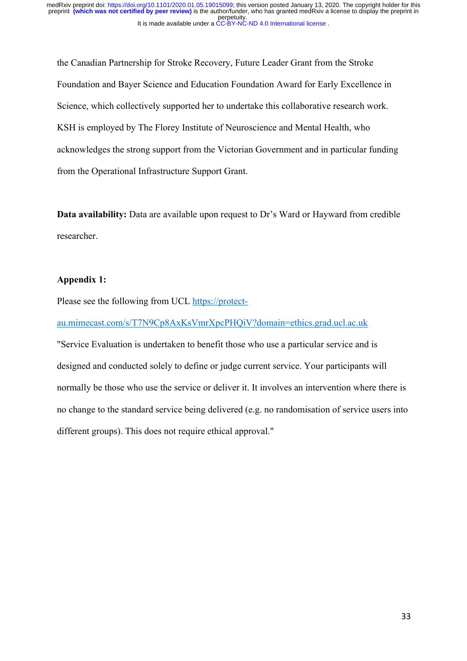the Canadian Partnership for Stroke Recovery, Future Leader Grant from the Stroke Foundation and Bayer Science and Education Foundation Award for Early Excellence in Science, which collectively supported her to undertake this collaborative research work. KSH is employed by The Florey Institute of Neuroscience and Mental Health, who acknowledges the strong support from the Victorian Government and in particular funding from the Operational Infrastructure Support Grant.

**Data availability:** Data are available upon request to Dr's Ward or Hayward from credible researcher.

## **Appendix 1:**

Please see the following from UCL https://protect-

au.mimecast.com/s/T7N9Cp8AxKsVmrXpcPHQiV?domain=ethics.grad.ucl.ac.uk

"Service Evaluation is undertaken to benefit those who use a particular service and is designed and conducted solely to define or judge current service. Your participants will normally be those who use the service or deliver it. It involves an intervention where there is no change to the standard service being delivered (e.g. no randomisation of service users into different groups). This does not require ethical approval."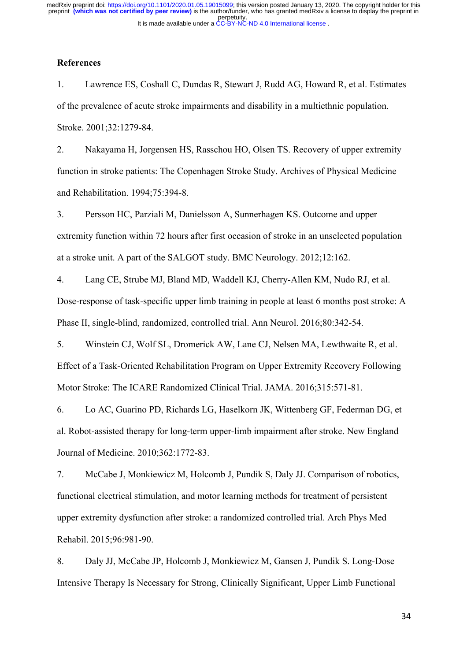#### **References**

1. Lawrence ES, Coshall C, Dundas R, Stewart J, Rudd AG, Howard R, et al. Estimates of the prevalence of acute stroke impairments and disability in a multiethnic population. Stroke. 2001;32:1279-84.

2. Nakayama H, Jorgensen HS, Rasschou HO, Olsen TS. Recovery of upper extremity function in stroke patients: The Copenhagen Stroke Study. Archives of Physical Medicine and Rehabilitation. 1994;75:394-8.

3. Persson HC, Parziali M, Danielsson A, Sunnerhagen KS. Outcome and upper extremity function within 72 hours after first occasion of stroke in an unselected population at a stroke unit. A part of the SALGOT study. BMC Neurology. 2012;12:162.

4. Lang CE, Strube MJ, Bland MD, Waddell KJ, Cherry-Allen KM, Nudo RJ, et al. Dose-response of task-specific upper limb training in people at least 6 months post stroke: A Phase II, single-blind, randomized, controlled trial. Ann Neurol. 2016;80:342-54.

5. Winstein CJ, Wolf SL, Dromerick AW, Lane CJ, Nelsen MA, Lewthwaite R, et al. Effect of a Task-Oriented Rehabilitation Program on Upper Extremity Recovery Following Motor Stroke: The ICARE Randomized Clinical Trial. JAMA. 2016;315:571-81.

6. Lo AC, Guarino PD, Richards LG, Haselkorn JK, Wittenberg GF, Federman DG, et al. Robot-assisted therapy for long-term upper-limb impairment after stroke. New England Journal of Medicine. 2010;362:1772-83.

7. McCabe J, Monkiewicz M, Holcomb J, Pundik S, Daly JJ. Comparison of robotics, functional electrical stimulation, and motor learning methods for treatment of persistent upper extremity dysfunction after stroke: a randomized controlled trial. Arch Phys Med Rehabil. 2015;96:981-90.

8. Daly JJ, McCabe JP, Holcomb J, Monkiewicz M, Gansen J, Pundik S. Long-Dose Intensive Therapy Is Necessary for Strong, Clinically Significant, Upper Limb Functional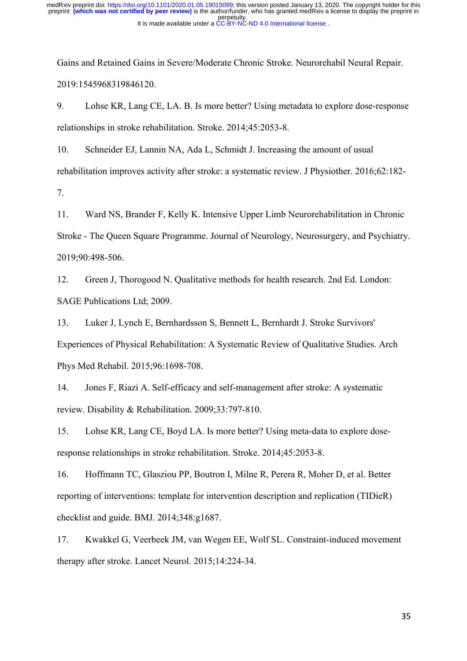Gains and Retained Gains in Severe/Moderate Chronic Stroke. Neurorehabil Neural Repair. 2019:1545968319846120.

9. Lohse KR, Lang CE, LA. B. Is more better? Using metadata to explore dose-response relationships in stroke rehabilitation. Stroke. 2014;45:2053-8.

10. Schneider EJ, Lannin NA, Ada L, Schmidt J. Increasing the amount of usual rehabilitation improves activity after stroke: a systematic review. J Physiother. 2016;62:182- 7.

11. Ward NS, Brander F, Kelly K. Intensive Upper Limb Neurorehabilitation in Chronic Stroke - The Queen Square Programme. Journal of Neurology, Neurosurgery, and Psychiatry. 2019;90:498-506.

12. Green J, Thorogood N. Qualitative methods for health research. 2nd Ed. London: SAGE Publications Ltd; 2009.

13. Luker J, Lynch E, Bernhardsson S, Bennett L, Bernhardt J. Stroke Survivors' Experiences of Physical Rehabilitation: A Systematic Review of Qualitative Studies. Arch Phys Med Rehabil. 2015;96:1698-708.

14. Jones F, Riazi A. Self-efficacy and self-management after stroke: A systematic review. Disability & Rehabilitation. 2009;33:797-810.

15. Lohse KR, Lang CE, Boyd LA. Is more better? Using meta-data to explore doseresponse relationships in stroke rehabilitation. Stroke. 2014;45:2053-8.

16. Hoffmann TC, Glasziou PP, Boutron I, Milne R, Perera R, Moher D, et al. Better reporting of interventions: template for intervention description and replication (TIDieR) checklist and guide. BMJ. 2014;348:g1687.

17. Kwakkel G, Veerbeek JM, van Wegen EE, Wolf SL. Constraint-induced movement therapy after stroke. Lancet Neurol. 2015;14:224-34.